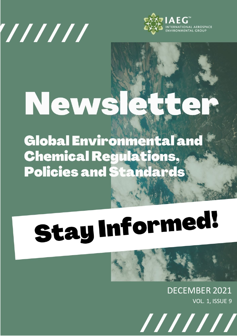



# News!  $\triangle$

**Global Environmental and Chemical Regulations, Policies and Standards** 

# **Stay Informed!**



DECEMBER 2021 VOL. 1, ISSUE 9

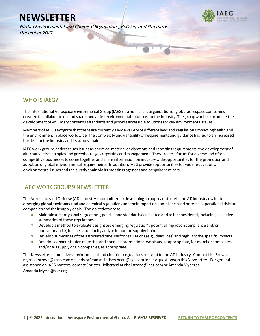Global Environmental and Chemical Regulations, Policies, and Standards December 2021



### WHO IS IAEG?

l

The International Aerospace Environmental Group (IAEG) is a non-profit organization of global aerospace companies created to collaborate on and share innovative environmental solutions for the industry. The group works to promote the development of voluntary consensus standards and provide accessible solutions for key environmental issues.

Members of IAEG recognize that there are currently a wide variety of different laws and regulations impacting health and the environment in place worldwide. The complexity and variability of requirements and guidance has led to an increased burden for the industry and its supply chain.

IAEG work groups address such issues as chemical material declarations and reporting requirements, the development of alternative technologies and greenhouse gas reporting and management. They create a forum for diverse and often competitive businesses to come together and share information on industry-wide opportunities for the promotion and adoption of global environmental requirements. In addition, IAEG provides opportunities for wider education on environmental issues and the supply chain via its meetings agendas and bespoke seminars.

# IAEG WORK GROUP 9 NEWSLETTER

The Aerospace and Defense (AD) industry is committed to developing an approach to help the AD industry evaluate emerging global environmental and chemical regulations and their impact on compliance and potential operational risk for companies and their supply chain. The objectives are to:

- **»** Maintain a list of global regulations, policies and standards considered and to be considered, including executive summaries of those regulations.
- **»** Develop a method to evaluate designated emerging regulation's potential impact on compliance and/or operational risk, business continuity and/or impact on supply chain.
- **»** Develop summaries of the associated timeline for regulations (e.g., deadlines) and highlight the specific impacts.
- **»** Develop communication materials and conduct informational webinars, as appropriate, for member companies and/or AD supply chain companies, as appropriate.

This Newsletter summarizes environmental and chemical regulations relevant to the AD industry. Contact Lisa Brown at myrna.l.brown@lmco.com or Lindsey Bean at lindsey.bean@ngc.com for any questionson this Newsletter. For general assistance on IAEG matters, contact Christer Hellstrand at chellstrand@iaeg.com or Amanda Myers at Amanda.Myers@sae.org.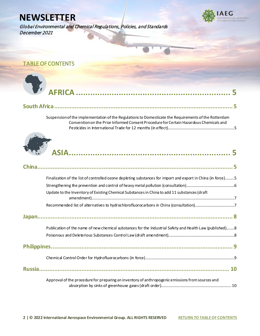Global Environmental and Chemical Regulations, Policies, and Standards December 2021



<span id="page-2-0"></span>TABLE OF CONTENTS



|--|--|

[Suspension of the implementation of the Regulations to Domesticate the Requirements of the Rotterdam](#page-5-2)  [Convention on the Prior Informed Consent Procedure for Certain Hazardous Chemicals and](#page-5-2)  [Pesticides in International Trade for 12 months \(in effect\).................................................................5](#page-5-2)



[Approval of the procedure for preparing an inventory of anthropogenic emissions from sources and](#page-10-1)  [absorption by sinks of greenhouse gases \(draft order\).....................................................................](#page-10-1) 10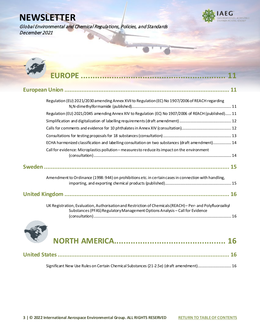Global Environmental and Chemical Regulations, Policies, and Standards December 2021





| Regulation (EU) 2021/2030 amending Annex XVII to Regulation (EC) No 1907/2006 of REACH regarding                                                                                                               |
|----------------------------------------------------------------------------------------------------------------------------------------------------------------------------------------------------------------|
| Regulation (EU) 2021/2045 amending Annex XIV to Regulation (EC) No 1907/2006 of REACH (published) 11                                                                                                           |
|                                                                                                                                                                                                                |
|                                                                                                                                                                                                                |
|                                                                                                                                                                                                                |
| ECHA harmonized classification and labelling consultation on two substances (draft amendment) 14                                                                                                               |
| Call for evidence: Microplastics pollution - measuresto reduce its impact on the environment                                                                                                                   |
|                                                                                                                                                                                                                |
| Amendment to Ordinance (1998: 944) on prohibitions etc. in certain cases in connection with handling,                                                                                                          |
|                                                                                                                                                                                                                |
| UK Registration, Evaluation, Authorisation and Restriction of Chemicals (REACH) - Per- and Polyfluoroalkyl<br>Substances (PFAS) Regulatory Management Options Analysis - Call for Evidence<br><b>CONTINUES</b> |



[Significant New Use Rules on Certain Chemical Substances \(21-2.5e\) \(draft amendment\)................................. 16](#page-16-4)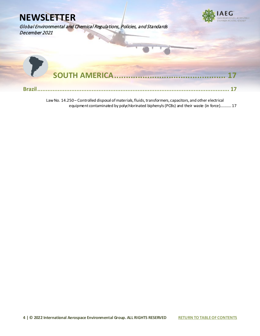

[Law No. 14.250 – Controlled disposal of materials, fluids, transformers, capacitors, and other electrical](#page-17-2)  [equipment contaminated by polychlorinated biphenyls \(PCBs\) and their waste \(in force\)...........](#page-17-2) 17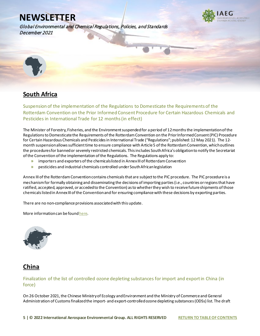Global Environmental and Chemical Regulations, Policies, and Standards December 2021



<span id="page-5-0"></span>

# <span id="page-5-1"></span>**South Africa**

<span id="page-5-2"></span>Suspension of the implementation of the Regulations to Domesticate the Requirements of the Rotterdam Convention on the Prior Informed Consent Procedure for Certain Hazardous Chemicals and Pesticides in International Trade for 12 months(in effect)

The Minister of Forestry, Fisheries, and the Environment suspended for a period of 12 months the implementation of the Regulations to Domesticate the Requirements of the Rotterdam Convention on the Prior Informed Consent (PIC) Procedure for Certain Hazardous Chemicals and Pesticides in International Trade ("Regulations"; published: 12 May 2021). The 12 month suspension allows sufficient time to ensure compliance with Article 5 of the Rotterdam Convention, which outlines the procedures for banned or severely restricted chemicals. This includes South Africa's obligation to notify the Secretariat of the Convention of the implementation of the Regulations. The Regulations apply to:

- **»** importers and exporters of the chemicals listed in Annex III of Rotterdam Convention
- **»** pesticides and industrial chemicals controlled under South African legislation

Annex III of the Rotterdam Convention contains chemicals that are subject to the PIC procedure. The PIC procedure is a mechanism for formally obtaining and disseminating the decisions of importing parties (i.e., countries or regions that have ratified, accepted, approved, or acceded to the Convention) as to whether they wish to receive future shipments of those chemicals listed in Annex III of the Convention and for ensuring compliance with these decisions by exporting parties.

There are no non-compliance provisions associated with this update.

More information can be foun[d here](https://www.iaeg.com/elements/pdf/newsletters-12-21/ZAF_Government_Notice_Number_1514.pdf).

<span id="page-5-3"></span>

# <span id="page-5-4"></span>**China**

### <span id="page-5-5"></span>Finalization of the list of controlled ozone depleting substances for import and export in China (in force)

On 26 October 2021, the Chinese Ministry of Ecology and Environment and the Ministry of Commerce and General Administration of Customs finalized the import- and export-controlled ozone depleting substances (ODSs) list. The draft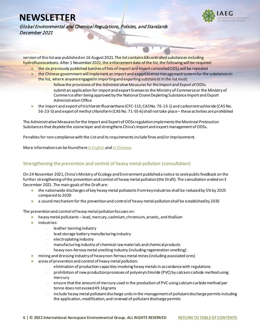

Global Environmental and Chemical Regulations, Policies, and Standards December 2021

version of this list was published on 16 August 2021. The list contains 68 controlled substances including hydrofluorocarbons. After 1 November 2021, the enforcement date of the list, the following will be required:

- **»** the six previously published batches of lists of import and export controlled ODSs will be repealed
- **»** the Chinese government will implement an import and export license management system for the substances in the list, where anyone engaged in importing and exporting substances in the list must:
	- **–** follow the provisions of the Administrative Measures for the Import and Export of ODSs
	- **–** submit an application for import and export licenses to the Ministry of Commerce or the Ministry of Commerce after being approved by the National Ozone Depleting Substance Import and Export Administration Office
- **»** the import and export of trichlorotrifluoroethane (CFC-113; CAS No. 76-13-1) and carbon tetrachloride (CAS No. 56-23-5) and export of methyl chloroform (CAS No. 71-55-6) shall not take place – these activities are prohibited

The Administrative Measures for the Import and Export of ODSs regulation implements the Montreal Protocol on Substances that deplete the ozone layer and strengthens China's import and export management of ODSs.

Penalties for non-compliance with the List and its requirements include fines and/or imprisonment.

More information can be found her[e in English](https://www.iaeg.com/elements/pdf/newsletters-12-21/CHN_List_of_Import_and_Export_Controlled_english.pdf) and [in Chinese](https://www.mee.gov.cn/xxgk2018/xxgk/xxgk01/202110/t20211026_957865.html).

### <span id="page-6-0"></span>Strengthening the prevention and control of heavy metal pollution (consultation)

On 24 November 2021, China's Ministry of Ecology and Environment published a notice to seek public feedback on the further strengthening ofthe prevention and control of heavy metal pollution(the Draft). The consultation ended on 3 December 2021. The main goals of the Draft are:

- **»** the nationwide discharges of key heavy metal pollutants from key industries shall be reduced by 5% by 2025 compared to 2020
- **»** a sound mechanism for the prevention and control of heavy metal pollution shall be establishedby 2035

The prevention and control of heavy metal pollution focuses on:

- **»** heavy metal pollutants lead, mercury, cadmium, chromium, arsenic, and thallium
- **»** industries:
	- **–** leather tanning industry
	- **–** lead storage battery manufacturing industry
	- **–** electroplating industry
	- **–** manufacturing industry of chemical raw materials and chemical products
	- **–** heavy non-ferrous metal smelting industry (including regeneration smelting)
- **»** mining and dressing industry of heavy non-ferrous metal mines (including associated ores)
- **»** areas of prevention and control of heavy metal pollution:
	- **–** elimination of production capacities involving heavy metals in accordance with regulations
	- **–** prohibition of new production processes of polyvinyl chloride (PVC) by calcium carbide method using mercury
	- **–** ensure that the amount of mercury used in the production of PVC using calcium carbide method per tonne does not exceed 49.14 grams
	- **–** include heavy metal pollutant discharge units in the management of pollutant discharge permits including the application, modification, and renewal of pollutant discharge permits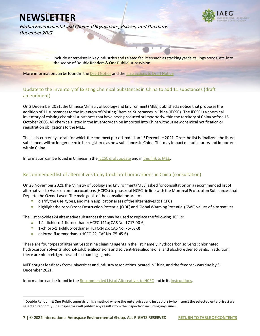

Global Environmental and Chemical Regulations, Policies, and Standards December 2021

> **–** include enterprises in key industries and related facilities such as stacking yards, tailings ponds, etc. into the scope of Double Random & One Public<sup>[1](#page-7-2)</sup> supervision

More information can be found in th[e Draft Notice](https://www.iaeg.com/elements/pdf/newsletters-12-21/CHN_Draft_Notice_on_the_Prevention_and_Control_of_Heavy_Metal_Pollution_english.pdf) and th[e Instructions to Draft Notice.](https://www.iaeg.com/elements/pdf/newsletters-12-21/CHN_Instructions_for_Draft_Notice_on_the_Prevention_and_Control_of_Heavy_Metal_Pollution_english.pdf)

### <span id="page-7-0"></span>Update to the Inventory of Existing Chemical Substances in China to add 11 substances (draft amendment)

On 2 December 2021, the Chinese Ministry of Ecology and Environment (MEE) published a notice that proposes the addition of 11 substances to the Inventory of Existing Chemical Substances in China (IECSC). The IECSC is a chemical inventory of existing chemical substances that have been produced or imported within the territory of China before 15 October 2003. All chemicals listed in the inventory can be imported into China without new chemical notification or registration obligations to the MEE.

The list is currently a draft for which the comment period ended on 15 December 2021. Once the list is finalized, the listed substances will no longer need to be registered as new substances in China. This may impact manufacturers and importers within China.

Information can be found in Chinese in the **IECSC** draft update and i[n this link to MEE.](http://www.mee.gov.cn/ywgz/gtfwyhxpgl/hxphjgl/wzml/202112/t20211202_962603.shtml)

### <span id="page-7-1"></span>Recommended list of alternatives to hydrochlorofluorocarbons in China (consultation)

On 23 November 2021, the Ministry of Ecology and Environment (MEE) asked for consultation on a recommended list of alternatives to Hydrochlorofluorocarbons (HCFCs) to phase out HCFCs in line with the Montreal Protocol on Substances that Deplete the Ozone Layer. The main goals of the consultation are to:

- **»** clarify the use, types, and main application areas of the alternatives to HCFCs
- **»** highlight the zero Ozone Destruction Potential (ODP) and Global Warming Potential (GWP) values of alternatives

The List provides 24 alternative substances that may be used to replace the following HCFCs:

- **»** 1,1-dichloro-1-fluoroethane (HCFC-141b; CAS No. 1717-00-6)
- **»** 1-chloro-1,1-difluoroethane (HCFC-142b; CAS No. 75-68-3)
- **»** chlorodifluoromethane (HCFC-22; CAS No. 75-45-6)

There are four types of alternatives to nine cleaning agents in the list, namely, hydrocarbon solvents; chlorinated hydrocarbon solvents; alcohol-soluble silicone oils and solvent-free silicone oils; and alcohol ether solvents. In addition, there are nine refrigerants and six foaming agents.

MEE sought feedback from universities and industry associations located in China, and the feedback was due by 31 December 2021.

Information can be found in th[e Recommended List of Alternatives to HCFC](https://www.iaeg.com/elements/pdf/newsletters-12-21/CHN_Recommended_List_of_Alternatives_to_HCFCs_english.pdf) and in it[s instructions](https://www.iaeg.com/elements/pdf/newsletters-12-21/CHN_Instructions_for_Recommended_List_of_Alternatives_to_HCFCs_english.pdf).

<span id="page-7-2"></span> $1$  Double Random & One Public supervision is a method where the enterprises and inspectors (who inspect the selected enterprises) are selected randomly. The inspectors will publish any results from the inspection including any issues.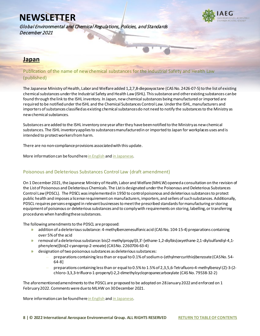

Global Environmental and Chemical Regulations, Policies, and Standards December 2021

### <span id="page-8-0"></span>**Japan**

<span id="page-8-1"></span>Publication of the name of new chemical substances for the Industrial Safety and Health Law (published)

The Japanese Ministry of Health, Labor and Welfare added 1,2,7,8-diepoxyoctane (CAS No. 2426-07-5) to the list of existing chemical substances under the Industrial Safety and Health Law (ISHL). This substance and other existing substances can be found through the link to the ISHL inventory. In Japan, new chemical substances being manufactured or imported are required to be notified under the ISHL and the Chemical Substances Control Law. Under the ISHL, manufacturers and importers of substances classified as existing chemical substances do not need to notify the substances to the Ministry as new chemical substances.

Substances are added to the ISHL inventory one year after they havebeen notified to the Ministry as new chemical substances. The ISHL inventory applies to substances manufactured in or imported to Japan for workplaces uses and is intended to protect workers from harm.

There are no non-compliance provisions associated with this update.

More information can be found her[e in English](https://www.iaeg.com/elements/pdf/newsletters-12-21/JPN_ISHL_Inventory_Update_english.pdf) an[d in Japanese](https://anzeninfo.mhlw.go.jp/anzen_pg/KAG_FND.aspx).

### <span id="page-8-2"></span>Poisonous and Deleterious Substances Control Law (draft amendment)

On 1 December 2021, the Japanese Ministry of Health, Labor and Welfare (MHLW) opened a consultation on the revision of the List of Poisonous and Deleterious Chemicals. The List is designated under the Poisonous and Deleterious Substances Control Law (PDSCL). The PDSCL was implemented in 1950 to control poisonous and deleterious substances to protect public health and imposes a license requirement on manufacturers, importers, and sellers of such substances. Additionally, PDSCL requires persons engaged in relevant businesses to meet the prescribed standards for manufacturing or storing equipment of poisonous or deleterious substances and to comply with requirements on storing, labelling, or transferring procedures when handling these substances.

The following amendments to the PDSCL are proposed:

- **»** addition of a deleterious substance: 4-methylbenzenesulfonic acid (CAS No. 104-15-4) preparations containing over 5% of the acid
- **»** removal of a deleterious substance:bis(2-methylpropyl)3,3'-[ethane-1,2-diylbis(oxyethane-2,1-diylsulfandiyl-4,1 phenylene)]bis(2-cyanoprop-2-enoate) (CAS No. 2260706-63-4)
- **»** designation of two poisonous substances as deleterious substances:
	- **–** preparations containing less than or equal to 0.1% of sodium o-(ethylmercurithio)benzoate (CAS No. 54- 64-8]
	- **–** preparations containing less than or equal to 0.5% to 1.5% of 2,3,5,6-Tetrafluoro-4-methylbenzyl (Z)-3-(2 chloro-3,3,3-trifluoro-1-propenyl)-2,2-dimethylcyclopropanecarboxylate (CAS No. 79538-32-2)

The aforementioned amendments to the PDSCL are proposed to be adopted on 28 January 2022 and enforced on 1 February 2022. Comments were due to MLHW on 30 December 2021.

More information can be found her[e in English](https://www.iaeg.com/elements/pdf/newsletters-12-21/JPN_Draft_Amendments_to_PDSCL_english.pdf) an[d in Japanese](https://public-comment.e-gov.go.jp/servlet/Public?CLASSNAME=PCMMSTDETAIL&id=495210300&Mode=0).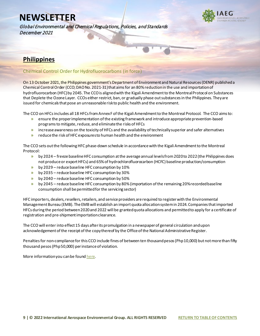Global Environmental and Chemical Regulations, Policies, and Standards December 2021



# <span id="page-9-0"></span>**Philippines**

### <span id="page-9-1"></span>Chemical Control Order for Hydrofluorocarbons (in force)

On 13 October 2021, the Philippines government's Department of Environment and Natural Resources (DENR) published a Chemical Control Order (CCO; DAO No. 2021-31)that aims for an 80% reduction in the use and importation of hydrofluorocarbon (HFC) by 2045. The CCO is aligned with the Kigali Amendment to the Montreal Protocol on Substances that Deplete the Ozone Layer. CCOs either restrict, ban, or gradually phase out substances in the Philippines. They are issued for chemicals that pose an unreasonable risk to public health and the environment.

The CCO on HFCs includes all 18 HFCs from Annex F of the Kigali Amendment to the Montreal Protocol. The CCO aims to:

- **»** ensure the proper implementation ofthe existing framework and introduce appropriate prevention-based programsto mitigate, reduce, and eliminate the risks of HFCs
- **»** increase awareness on the toxicity of HFCs and the availability of technically superior and safer alternatives
- **»** reduce the risk of HFC exposures to human health and the environment

The CCO sets out the following HFC phase-down schedule in accordance with the Kigali Amendment to the Montreal Protocol:

- **»** by 2024 freeze baseline HFC consumption at the average annual levels from 2020 to 2022 (the Philippines does not produce or export HFCs) and 65% of hydrochlorofluorocarbon (HCFC) baseline production/consumption
- **»** by 2029 reduce baseline HFC consumption by 10%
- **»** by 2035 reduce baseline HFC consumption by 30%
- **»** by 2040 reduce baseline HFC consumption by 50%
- **»** by 2045 reduce baseline HFC consumption by 80% (importation of the remaining 20% recorded baseline consumption shall be permitted for the servicing sector)

HFC importers, dealers, resellers, retailers, and service providers are required to register with the Environmental Management Bureau (EMB). The EMB will establish an import quota allocation system in 2024. Companies that imported HFCs during the period between 2020and 2022 will be granted quota allocations and permitted to apply for a certificate of registration and pre-shipment importation clearance.

The CCO will enter into effect 15 days after its promulgation in a newspaper of general circulation and upon acknowledgement of the receipt of the copy thereof by the Office of the National Administrative Register.

Penalties for non-compliance for this CCO include fines of between ten thousand pesos (Php 10,000) but not more than fifty thousand pesos (Php 50,000) per instance of violation.

More information you can be foun[d here](https://www.iaeg.com/elements/pdf/newsletters-12-21/PHL_CCO_for_HFCs.pdf).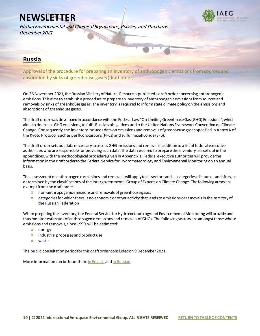Global Environmental and Chemical Regulations, Policies, and Standards December 2021

# <span id="page-10-0"></span>**Russia**

<span id="page-10-1"></span>Approval of the procedure for preparing an inventory of anthropogenic emissions from sources and absorption by sinks of greenhouse gases(draft order)

On 26 November 2021, the Russian Ministry of Natural Resources published a draft order concerning anthropogenic emissions. This aims to establish a procedure to prepare an inventory of anthropogenic emissions from sources and removals by sinks of greenhouse gases. The inventory is required to inform state climate policy on the emissions and absorptions of greenhouse gases.

The draft order was developed in accordance with the Federal Law "On Limiting Greenhouse Gas (GHG) Emissions", which aims to decrease GHG emissions, to fulfil Russia's obligations under the United Nations Framework Convention on Climate Change. Consequently, the inventory includes data on emissions and removals of greenhouse gases specified in Annex A of the Kyoto Protocol, such as perfluorocarbons (PFCs) and sulfur hexafluoride (SF6).

The draft order sets out data necessary to assess GHG emissions and removal in addition to a list of federal executive authorities who are responsible for providing such data. The data required to prepare the inventory areset out in the appendices, with the methodological procedure given in Appendix 1. Federal executive authorities will provide the information in the draft order to the Federal Service for Hydrometeorology and Environmental Monitoring on an annual basis.

The assessment of anthropogenic emissions and removals will apply to all sectors and all categories of sources and sinks, as determined by the classifications of the Intergovernmental Group of Experts on Climate Change. The following areas are exempt from the draft order:

- **»** non-anthropogenic emissions and removals of greenhouse gases
- **»** categories for which there is no economic or other activity that leads to emissions or removals in the territory of the Russian Federation

When preparing the inventory, the Federal Service for Hydrometeorology and Environmental Monitoring will provide and thus monitor estimates of anthropogenic emissions and removals of GHGs. The following sectors are amongst those whose emissions and removals, since 1990, will be estimated:

- **»** energy
- **»** industrial processes and product use
- **»** waste

The public consultation period for this draft order concluded on 9 December 2021.

More information can be found here in English an[d in Russian](https://regulation.gov.ru/projects#npa=122823).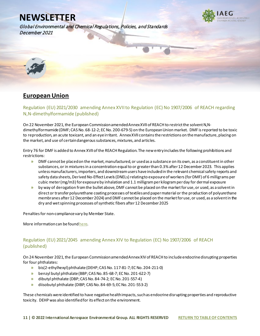Global Environmental and Chemical Regulations, Policies, and Standards December 2021

<span id="page-11-0"></span>

# <span id="page-11-1"></span>**European Union**

<span id="page-11-2"></span>Regulation (EU) 2021/2030 amending Annex XVII to Regulation (EC) No 1907/2006 of REACH regarding N,N-dimethylformamide (published)

On 22 November 2021, the European Commission amended Annex XVII of REACH to restrict the solvent N,Ndimethylformamide (DMF; CASNo. 68-12-2; EC No. 200-679-5) on the European Union market. DMF is reported to be toxic to reproduction, an acute toxicant, and an eye irritant. Annex XVII contains the restrictions on the manufacture, placing on the market, and use of certain dangerous substances, mixtures, and articles.

Entry 76 for DMF is added to Annex XVII of the REACH Regulation. The new entry includes the following prohibitions and restrictions:

- **»** DMF cannot be placed on the market, manufactured, or used as a substance on its own, as a constituent in other substances, or in mixtures in a concentration equal to or greater than 0.3% after 12 December 2023. This applies unless manufacturers, importers, and downstream users have included in the relevant chemical safety reports and safety data sheets, Derived No-Effect Levels (DNELs) relating to exposure of workers (for DMF) of 6 milligrams per cubic meter (mg/m3) for exposure by inhalation and 1.1 milligram per kilogram per day for dermal exposure
- **»** by way of derogation from the bullet above, DMF cannot be placed on the market for use, or used, as a solvent in direct or transfer polyurethane coating processes of textiles and paper material or the production of polyurethane membranes after 12 December 2024) and DMF cannot be placed on the market for use, or used, as a solvent in the dry and wet spinning processes of synthetic fibers after 12 December 2025

Penalties for non-compliance vary by Member State.

More information can be found here.

### <span id="page-11-3"></span>Regulation (EU) 2021/2045 amending Annex XIV to Regulation (EC) No 1907/2006 of REACH (published)

On 24 November 2021, the European Commission amended Annex XIV of REACH to include endocrine disrupting properties for four phthalates:

- **»** bis(2-ethylhexyl) phthalate (DEHP; CAS No. 117-81-7; EC No. 204-211-0)
- **»** benzyl butyl phthalate (BBP; CAS No. 85-68-7; EC No. 201-622-7)
- **»** dibutyl phthalate (DBP; CAS No. 84-74-2; EC No. 201-557-4)
- **»** diisobutyl phthalate (DIBP; CAS No. 84-69-5; EC No. 201-553-2)

These chemicals were identified to have negative health impacts, such as endocrine disrupting properties and reproductive toxicity. DEHP was also identified for its effect on the environment.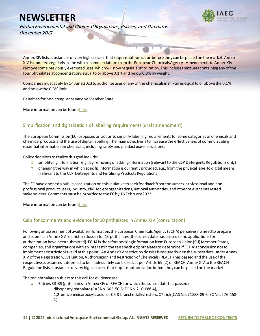

Global Environmental and Chemical Regulations, Policies, and Standards December 2021

Annex XIV lists substances of very high concern that require authorization before they can be placed on the market. Annex XIV is updated regularly in line with recommendations from the European Chemicals Agency. Amendments to Annex XIV remove some previously exempted uses, which will now require authorization. This includes mixtures containing any of the four phthalates at concentrations equal to or above 0.1% and below 0.3% by weight.

Companies must apply by 14 June 2023 to authorize uses of any of the chemicals in mixtures equal to or above the 0.1% and below the 0.3% limit.

Penalties for non-compliance vary by Member State.

More information can be foun[d here](https://eur-lex.europa.eu/legal-content/EN/TXT/?uri=CELEX%3A32021R2045#d1e32-9-1).

### <span id="page-12-0"></span>Simplification and digitalization of labelling requirements (draft amendment)

The European Commission (EC) proposed an action to simplify labelling requirements for some categories of chemicals and chemical products and the use of digital labelling. The main objective is to increase the effectiveness of communicating essential information on chemicals, including safety and product use-instructions.

Policy decisions to realize this goal include:

- **»** simplifying information, e.g., by removing or adding information (relevant to the CLP Detergents Regulations only)
- **»** changing the way in which specific information is currently provided, e.g., from the physical label to digitalmeans (relevant to the CLP, Detergents and Fertilising Products Regulations)

The EC have opened a public consultation on this initiative to seek feedback from consumers, professional and nonprofessional product users, industry, civil society organizations, national authorities, and other relevant interested stakeholders.Comments must be provided to the EC by 16 February 2022.

More information can be foun[d here](https://ec.europa.eu/info/law/better-regulation/have-your-say/initiatives/12992-Chemicals-simplification-and-digitalisation-of-labelling-requirements_en).

### <span id="page-12-1"></span>Calls for comments and evidence for 10 phthalates in Annex XIV (consultation)

Following an assessment of available information, the European Chemicals Agency (ECHA) perceives no need to prepare and submit an Annex XV restriction dossier for 10 phthalates (the sunset date has passed or no applications for authorization have been submitted). ECHA is therefore seeking information from European Union (EU) Member States, companies, and organizations with an interest in the ten specified phthalates to determine if ECHA's conclusion not to implement a restriction is valid at this point. An Annex XV restriction dossier is required when the sunset date under Annex XIV of the Registration, Evaluation, Authorisation and Restriction of Chemicals (REACH) has passed and the use of the respective substances is deemed to be inadequately controlled, as per Article 69 (2) of REACH. Annex XIV to the REACH Regulation lists substances of very high concern that require authorization before they can be placed on the market.

The ten phthalates subject to this call for evidence are:

- **»** Entries 33-39 (phthalates in Annex XIV of REACH for which the sunset date has passed):
	- **–** diisopentylphthalate (CAS No. 605-50-5; EC No. 210-088-4),
	- **–** 1,2-benzenedicarboxylic acid, di-C6-8-branched alkyl esters, C7-rich (CAS No. 71888-89-6; EC No. 276-158- 1)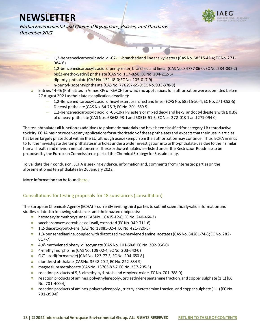

Global Environmental and Chemical Regulations, Policies, and Standards December 2021

- **–** 1,2-benzenedicarboxylic acid, di-C7-11-branched and linear alkyl esters (CAS No. 68515-42-4; EC No. 271- 084-6)
- **–** 1,2-benzenedicarboxylic acid, dipentyl ester, branched and linear (CAS No. 84777-06-0; EC No. 284-032-2)
- **–** bis(2-methoxyethyl) phthalate (CAS No. 117-82-8; EC No. 204-212-6)
- **–** dipentyl phthalate (CAS No. 131-18-0; EC No. 205-017-9)
- **–** n-pentyl-isopentylphthalate (CAS No. 776297-69-9; EC No. 933-378-9)
- **»** Entries 44-46 (Phthalates in Annex XIV of REACH for which no applications for authorization were submitted before 27 August 2021 as their latest application deadline):
	- **–** 1,2-Benzenedicarboxylic acid, dihexyl ester, branched and linear (CAS No. 68515-50-4; EC No. 271-093-5)
	- **–** Dihexyl phthalate (CAS No. 84-75-3; EC No. 201-559-5)
	- **–** 1,2-benzenedicarboxylic acid, di-C6-10-alkyl esters or mixed decyl and hexyl and octyl diesters with ≥ 0.3% of dihexyl phthalate (CAS Nos. 68648-93-1 and 68515-51-5; EC Nos. 272-013-1 and 271-094-0)

The ten phthalates all function as additives to polymeric materials and have been classified for category 1B reproductive toxicity. ECHA has not received any applications for authorization of these phthalates and expects that their use in articles has been largely phased out within the EU, although uses exempt from the authorization may continue. Thus, ECHA intends to further investigate the ten phthalates in articles under a wider investigation into ortho-phthalate use due to their similar human health and environmental concerns. These ortho-phthalates are listed under the Restriction Roadmap to be proposed by the European Commission as part of the Chemical Strategy for Sustainability.

To validate their conclusion, ECHA is seeking evidence, information and, comments from interested parties on the aforementioned ten phthalatesby 26 January 2022.

More information can be foun[d here](https://echa.europa.eu/calls-for-comments-and-evidence/-/substance-rev/68101/term).

### <span id="page-13-0"></span>Consultations for testing proposals for 18 substances (consultation)

The European Chemicals Agency (ECHA) is currently inviting third parties to submit scientifically valid information and studies related to following substances and their hazard endpoints:

- **»** hexadecyltrimethoxysilane (CAS No. 16415-12-6; EC No. 240-464-3)
- **»** saccharomyces cerevisiae cell wall, extracted (EC No. 949-711-6)
- **»** 1,2-diacetoxybut-3-ene (CAS No. 18085-02-4; EC No. 421-720-5)
- **»** 1,3-benzenediamine, coupled with diazotized m-phenylenediamine, acetates (CAS No. 84281-74-3; EC No. 282- 617-7)
- **»** 4,4'-methylenediphenyl diisocyanate (CAS No. 101-68-8; EC No. 202-966-0)
- **»** 4-methylmorpholine (CAS No. 109-02-4; EC No. 203-640-0)
- **»** C,C'-azodi(formamide) [CAS No. 123-77-3; EC No. 204-650-8]
- **»** diundecyl phthalate (CAS No. 3648-20-2; EC No. 222-884-9)
- **»** magnesium metaborate (CAS No. 13703-82-7; EC No. 237-235-5)
- **»** reaction products of 5,5-dimethylhydantoin and ethylene oxide (EC No. 701-388-0)
- **»** reaction products of amines, polyethylenepoly-, tetraethylenepentamine fraction, and copper sulphate (1:1) [EC No. 701-400-4]
- **»** reaction products of amines, polyethylenepoly-, triethylenetetramine fraction, and copper sulphate (1:1) [EC No. 701-399-0]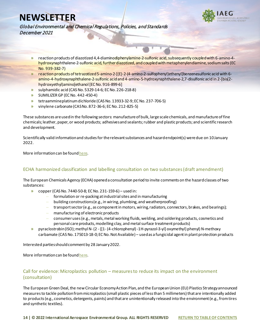

Global Environmental and Chemical Regulations, Policies, and Standards December 2021

- **»** reaction products of diazotized 4,4-diaminodiphenylamine-2-sulfonic acid, subsequently coupled with 6-amino-4 hydroxynaphthalene-2-sulfonic acid, further diazotized, and coupled with metaphenylendiamine, sodium salts (EC No. 939-382-7)
- **»** reaction products of tetrazotized 5-amino-2-[(E)-2-(4-amino-2-sulfophenyl)ethenyl]benzenesulfonic acid with 6 amino-4-hydroxynaphthalene-2-sulfonic acid and 4-amino-5-hydroxynaphthalene-2,7-disulfonic acid in 2-[bis(2 hydroxyethyl)amino]ethanol [EC No. 916-899-6]
- **»** sulphamidic acid (CAS No. 5329-14-6; EC No. 226-218-8)
- **»** SUMILIZER GP (EC No. 442-450-4)
- **»** tetraammineplatinum dichloride (CAS No. 13933-32-9; EC No. 237-706-5)
- **»** vinylene carbonate (CAS No. 872-36-6; EC No. 212-825-5)

These substances are used in the following sectors: manufacture of bulk, large scale chemicals, and manufacture of fine chemicals; leather, paper, or wood products; adhesives and sealants; rubber and plastic products; and scientific research and development.

Scientifically valid information and studies for the relevant substances and hazard endpoint(s) were due on 10 January 2022.

More information can be foun[d here](https://echa.europa.eu/information-on-chemicals/testing-proposals/current?p_p_id=viewsubstances_WAR_echarevsubstanceportlet&p_p_lifecycle=0&p_p_state=normal&p_p_mode=view&_viewsubstances_WAR_echarevsubstanceportlet_cur=1&_viewsubstances_WAR_echarevsubstanceportlet_delta=50&_viewsubstances_WAR_echarevsubstanceportlet_orderByCol=staticField_-109&_viewsubstances_WAR_echarevsubstanceportlet_orderByType=desc).

### <span id="page-14-0"></span>ECHA harmonized classification and labelling consultation on two substances (draft amendment)

The European Chemicals Agency (ECHA) opened a consultation period to invite comments on the hazard classes of two substances:

- **»** copper (CAS No. 7440-50-8; EC No. 231-159-6) used in:
	- **–** formulation or re-packing at industrial sites and in manufacturing
	- **–** building constructions (e.g., in wiring, plumbing, and weatherproofing)
	- **–** transport sector (e.g., as component in motors, wiring, radiators, connectors, brakes, and bearings);
	- **–** manufacturing of electronic products
	- **–** consumer uses (e.g.,metals, metal working fluids, welding, and soldering products, cosmetics and personal care products, modelling clay, and metal surface treatment products)
- **»** pyraclostrobin (ISO); methyl N- (2 -{[1- (4-chlorophenyl) -1H-pyrazol-3-yl] oxymethyl} phenyl) N-methoxy carbamate (CAS No. 175013-18-0; EC No. Not Available) – used as a fungicidal agent in plant protection products

Interested parties should comment by 28 January 2022.

More information can be foun[d here](https://echa.europa.eu/harmonised-classification-and-labelling-consultation).

### <span id="page-14-1"></span>Call for evidence: Microplastics pollution – measures to reduce its impact on the environment (consultation)

The European Green Deal, the new Circular Economy Action Plan, and the European Union (EU) Plastics Strategy announced measures to tackle pollution from microplastics (small plastic pieces of less than 5 millimeters) that are intentionally added to products (e.g., cosmetics, detergents, paints) and that are unintentionally released into the environment (e.g., fromtires and synthetic textiles).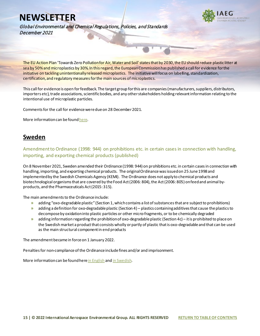

Global Environmental and Chemical Regulations, Policies, and Standards December 2021

The EU Action Plan 'Towards Zero Pollution for Air, Water and Soil' states that by 2030, the EU should reduce plastic litter at sea by 50% and microplastics by 30%. In this regard, the European Commission has published a call for evidence for the initiative on tackling unintentionally released microplastics. The initiative will focus on labelling, standardization, certification, and regulatory measures for the main sources of microplastics.

This call for evidence is open for feedback. The target group for this are companies (manufacturers, suppliers, distributors, importers etc), trade associations, scientific bodies, and any other stakeholders holding relevant information relating to the intentional use of microplastic particles.

Comments for the call for evidence were due on 28 December 2021.

More information can be foun[d here](https://ec.europa.eu/info/law/better-regulation/have-your-say/initiatives/12823-Microplastics-pollution-measures-to-reduce-its-impact-on-the-environment_en).

### <span id="page-15-0"></span>**Sweden**

<span id="page-15-1"></span>Amendment to Ordinance (1998: 944) on prohibitions etc. in certain cases in connection with handling, importing, and exporting chemical products (published)

On 8 November 2021, Sweden amended their Ordinance (1998: 944) on prohibitions etc. in certain cases in connection with handling, importing, and exporting chemical products. The original Ordinance was issued on 25 June 1998 and implemented by the Swedish Chemicals Agency (KEMI). The Ordinance does not apply to chemical products and biotechnological organisms that are covered by the Food Act (2006: 804), the Act (2006: 805) on feed and animal byproducts, and the Pharmaceuticals Act (2015: 315).

The main amendments to the Ordinance include:

- **»** adding "oxo-degradable plastic" (Section 1, which contains a list of substances that are subject to prohibitions)
- **»** adding a definition for oxo-degradable plastic (Section 4) plastics containing additives that cause the plastics to decompose by oxidation into plastic particles or other micro-fragments, or to be chemically degraded
- **»** adding information regarding the prohibition of oxo-degradable plastic (Section 4c) it is prohibited to place on the Swedish market a product that consists wholly or partly of plastic that is oxo-degradable and that can be used as the main structural component in end products

The amendment became in force on 1 January 2022.

Penalties for non-compliance of the Ordinance include fines and/or and imprisonment.

More information can be foundher[e in English](https://www.iaeg.com/elements/pdf/newsletters-12-21/SWE_Amendment_to_Ordinance_on_Prohibition_of_Certain_Chemical_Products_english.pdf) an[d in Swedish](https://www.svenskforfattningssamling.se/doc/20211007.html).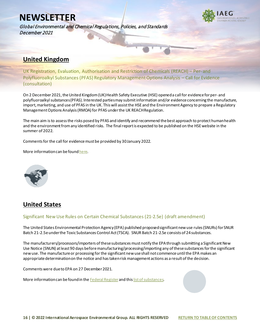Global Environmental and Chemical Regulations, Policies, and Standards December 2021



# <span id="page-16-0"></span>**United Kingdom**

<span id="page-16-1"></span>UK Registration, Evaluation, Authorisation and Restriction of Chemicals (REACH) – Per- and Polyfluoroalkyl Substances (PFAS) Regulatory Management Options Analysis – Call for Evidence (consultation)

On 2 December 2021, the United Kingdom (UK) Health Safety Executive (HSE) opened a call for evidence for per- and polyfluoroalkyl substances (PFAS). Interested parties may submit information and/or evidence concerning the manufacture, import, marketing, and use of PFAS in the UK. This will assist the HSE and the Environment Agency to prepare a Regulatory Management Options Analysis (RMOA) for PFAS under the UK REACH Regulation.

The main aim is to assess the risks posed by PFAS and identify and recommend the best approach to protect human health and the environment from any identified risks. The final report is expected to be published on the HSE website in the summer of 2022.

Comments for the call for evidence must be provided by 30 January 2022.

More information can be found here.

<span id="page-16-2"></span>

# <span id="page-16-3"></span>**United States**

### <span id="page-16-4"></span>Significant New Use Rules on Certain Chemical Substances (21-2.5e) (draft amendment)

The United States Environmental Protection Agency (EPA) published proposed significant new use rules (SNURs) for SNUR Batch 21-2.5e under the Toxic Substances Control Act (TSCA). SNUR Batch 21-2.5e consists of 24 substances.

The manufacturers/processors/importers of these substances must notify the EPA through submitting a Significant New Use Notice (SNUN) at least 90 days before manufacturing/processing/importing any of these substances for the significant new use. The manufacture or processing for the significant new use shall not commence until the EPA makes an appropriate determination on the notice and has taken risk management actions as a result of the decision.

Comments were due to EPA on 27 December 2021.

More information can be found in the [Federal Register](https://www.federalregister.gov/documents/2021/11/24/2021-24790/significant-new-use-rules-on-certain-chemical-substances-21-25e) and thi[s list of substances.](https://www.iaeg.com/elements/pdf/newsletters-12-21/USA_SNURs_Batch_21-2.5e_Substance_List.pdf)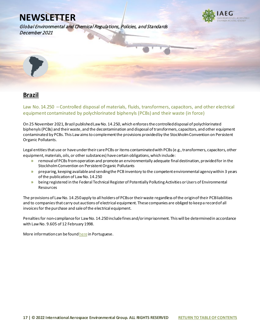

Global Environmental and Chemical Regulations, Policies, and Standards December 2021

<span id="page-17-0"></span>

# <span id="page-17-1"></span>**Brazil**

<span id="page-17-2"></span>Law No. 14.250 – Controlled disposal of materials, fluids, transformers, capacitors, and other electrical equipment contaminated by polychlorinated biphenyls (PCBs) and their waste (in force)

On 25 November 2021, Brazil published Law No. 14.250, which enforces the controlled disposal of polychlorinated biphenyls (PCBs) and their waste, and the decontamination and disposal of transformers, capacitors, and other equipment contaminated by PCBs. This Law aims to complement the provisions provided by the Stockholm Convention on Persistent Organic Pollutants.

Legal entities that use or have under their care PCBs or items contaminated with PCBs (e.g., transformers, capacitors, other equipment, materials, oils, or other substances) have certain obligations, which include:

- **»** removal of PCBs from operation and promote an environmentally adequate final destination, provided for in the Stockholm Convention on Persistent Organic Pollutants
- **»** preparing, keeping available and sending the PCB inventory to the competent environmental agency within 3 years of the publication of Law No. 14.250
- **»** being registered in the Federal Technical Register of Potentially Polluting Activities or Users of Environmental Resources

The provisions of Law No. 14.250 apply to all holders of PCBs or their waste regardless of the origin of their PCB liabilities and to companies that carry out auctions of electrical equipment. These companies are obliged to keep a record of all invoices for the purchase and sale of the electrical equipment.

Penalties for non-compliance for Law No. 14.250 include fines and/or imprisonment. This will be determined in accordance with Law No. 9.605 of 12 February 1998.

More information can be found here in Portuguese.